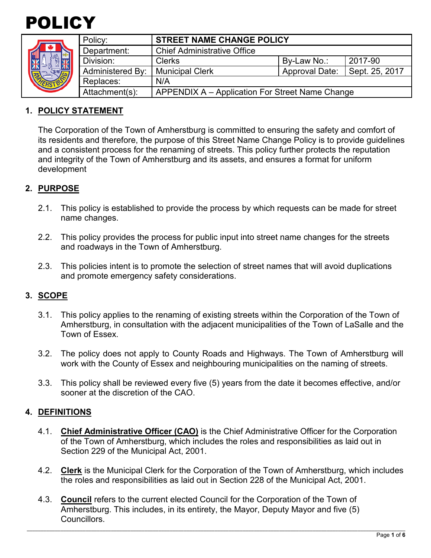

|  | Policy:          | <b>STREET NAME CHANGE POLICY</b>                |                       |                |  |
|--|------------------|-------------------------------------------------|-----------------------|----------------|--|
|  | Department:      | <b>Chief Administrative Office</b>              |                       |                |  |
|  | Division:        | <b>Clerks</b>                                   | By-Law No.:           | 2017-90        |  |
|  | Administered By: | <b>Municipal Clerk</b>                          | <b>Approval Date:</b> | Sept. 25, 2017 |  |
|  | Replaces:        | N/A                                             |                       |                |  |
|  | Attachment(s):   | APPENDIX A - Application For Street Name Change |                       |                |  |

#### **1. POLICY STATEMENT**

The Corporation of the Town of Amherstburg is committed to ensuring the safety and comfort of its residents and therefore, the purpose of this Street Name Change Policy is to provide guidelines and a consistent process for the renaming of streets. This policy further protects the reputation and integrity of the Town of Amherstburg and its assets, and ensures a format for uniform development

## **2. PURPOSE**

- 2.1. This policy is established to provide the process by which requests can be made for street name changes.
- 2.2. This policy provides the process for public input into street name changes for the streets and roadways in the Town of Amherstburg.
- 2.3. This policies intent is to promote the selection of street names that will avoid duplications and promote emergency safety considerations.

#### **3. SCOPE**

- 3.1. This policy applies to the renaming of existing streets within the Corporation of the Town of Amherstburg, in consultation with the adjacent municipalities of the Town of LaSalle and the Town of Essex.
- 3.2. The policy does not apply to County Roads and Highways. The Town of Amherstburg will work with the County of Essex and neighbouring municipalities on the naming of streets.
- 3.3. This policy shall be reviewed every five (5) years from the date it becomes effective, and/or sooner at the discretion of the CAO.

#### **4. DEFINITIONS**

- 4.1. **Chief Administrative Officer (CAO)** is the Chief Administrative Officer for the Corporation of the Town of Amherstburg, which includes the roles and responsibilities as laid out in Section 229 of the Municipal Act, 2001.
- 4.2. **Clerk** is the Municipal Clerk for the Corporation of the Town of Amherstburg, which includes the roles and responsibilities as laid out in Section 228 of the Municipal Act, 2001.
- 4.3. **Council** refers to the current elected Council for the Corporation of the Town of Amherstburg. This includes, in its entirety, the Mayor, Deputy Mayor and five (5) Councillors.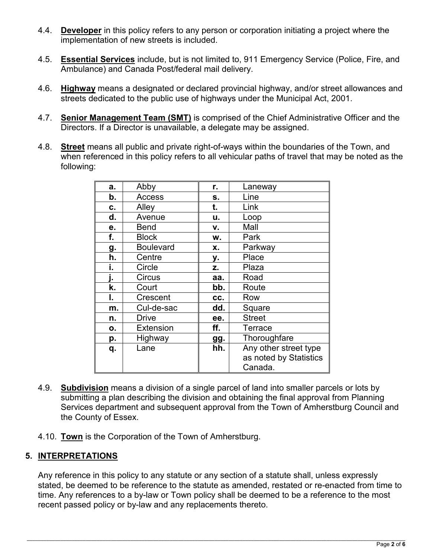- 4.4. **Developer** in this policy refers to any person or corporation initiating a project where the implementation of new streets is included.
- 4.5. **Essential Services** include, but is not limited to, 911 Emergency Service (Police, Fire, and Ambulance) and Canada Post/federal mail delivery.
- 4.6. **Highway** means a designated or declared provincial highway, and/or street allowances and streets dedicated to the public use of highways under the Municipal Act, 2001.
- 4.7. **Senior Management Team (SMT)** is comprised of the Chief Administrative Officer and the Directors. If a Director is unavailable, a delegate may be assigned.
- 4.8. **Street** means all public and private right-of-ways within the boundaries of the Town, and when referenced in this policy refers to all vehicular paths of travel that may be noted as the following:

| a. | Abby             | r.  | Laneway                |
|----|------------------|-----|------------------------|
| b. | Access           | S.  | Line                   |
| c. | Alley            | t.  | Link                   |
| d. | Avenue           | u.  | Loop                   |
| е. | <b>Bend</b>      | v.  | Mall                   |
| f. | <b>Block</b>     | w.  | Park                   |
| g. | <b>Boulevard</b> | Х.  | Parkway                |
| h. | Centre           | у.  | Place                  |
| Ĭ. | Circle           | z.  | Plaza                  |
| ı. | Circus           | aa. | Road                   |
| k. | Court            | bb. | Route                  |
| I. | Crescent         | CC. | Row                    |
| m. | Cul-de-sac       | dd. | Square                 |
| n. | <b>Drive</b>     | ee. | <b>Street</b>          |
| Ο. | <b>Extension</b> | ff. | Terrace                |
| p. | Highway          | gg. | Thoroughfare           |
| q. | Lane             | hh. | Any other street type  |
|    |                  |     | as noted by Statistics |
|    |                  |     | Canada.                |

- 4.9. **Subdivision** means a division of a single parcel of land into smaller parcels or lots by submitting a plan describing the division and obtaining the final approval from Planning Services department and subsequent approval from the Town of Amherstburg Council and the County of Essex.
- 4.10. **Town** is the Corporation of the Town of Amherstburg.

## **5. INTERPRETATIONS**

Any reference in this policy to any statute or any section of a statute shall, unless expressly stated, be deemed to be reference to the statute as amended, restated or re-enacted from time to time. Any references to a by-law or Town policy shall be deemed to be a reference to the most recent passed policy or by-law and any replacements thereto.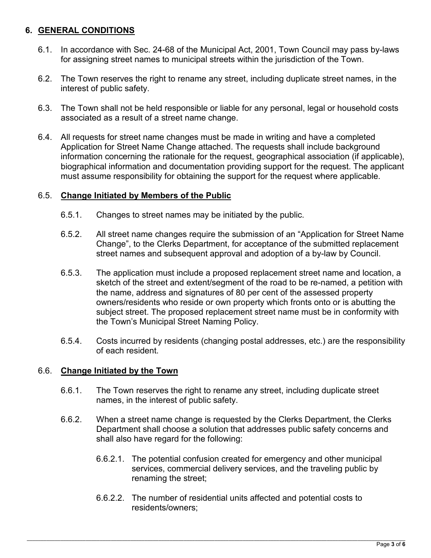## **6. GENERAL CONDITIONS**

- 6.1. In accordance with Sec. 24-68 of the Municipal Act, 2001, Town Council may pass by-laws for assigning street names to municipal streets within the jurisdiction of the Town.
- 6.2. The Town reserves the right to rename any street, including duplicate street names, in the interest of public safety.
- 6.3. The Town shall not be held responsible or liable for any personal, legal or household costs associated as a result of a street name change.
- 6.4. All requests for street name changes must be made in writing and have a completed Application for Street Name Change attached. The requests shall include background information concerning the rationale for the request, geographical association (if applicable), biographical information and documentation providing support for the request. The applicant must assume responsibility for obtaining the support for the request where applicable.

## 6.5. **Change Initiated by Members of the Public**

- 6.5.1. Changes to street names may be initiated by the public.
- 6.5.2. All street name changes require the submission of an "Application for Street Name Change", to the Clerks Department, for acceptance of the submitted replacement street names and subsequent approval and adoption of a by-law by Council.
- 6.5.3. The application must include a proposed replacement street name and location, a sketch of the street and extent/segment of the road to be re-named, a petition with the name, address and signatures of 80 per cent of the assessed property owners/residents who reside or own property which fronts onto or is abutting the subject street. The proposed replacement street name must be in conformity with the Town's Municipal Street Naming Policy.
- 6.5.4. Costs incurred by residents (changing postal addresses, etc.) are the responsibility of each resident.

#### 6.6. **Change Initiated by the Town**

- 6.6.1. The Town reserves the right to rename any street, including duplicate street names, in the interest of public safety.
- 6.6.2. When a street name change is requested by the Clerks Department, the Clerks Department shall choose a solution that addresses public safety concerns and shall also have regard for the following:
	- 6.6.2.1. The potential confusion created for emergency and other municipal services, commercial delivery services, and the traveling public by renaming the street;
	- 6.6.2.2. The number of residential units affected and potential costs to residents/owners;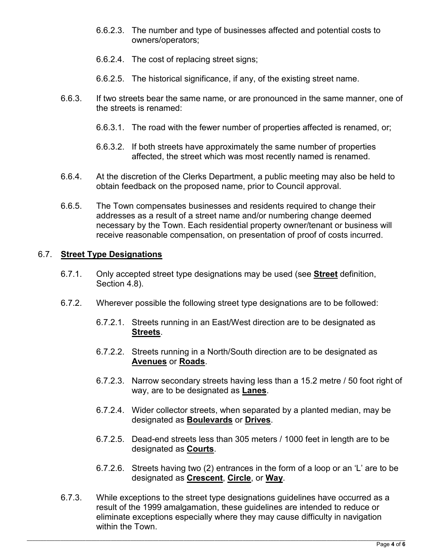- 6.6.2.3. The number and type of businesses affected and potential costs to owners/operators;
- 6.6.2.4. The cost of replacing street signs;
- 6.6.2.5. The historical significance, if any, of the existing street name.
- 6.6.3. If two streets bear the same name, or are pronounced in the same manner, one of the streets is renamed:
	- 6.6.3.1. The road with the fewer number of properties affected is renamed, or;
	- 6.6.3.2. If both streets have approximately the same number of properties affected, the street which was most recently named is renamed.
- 6.6.4. At the discretion of the Clerks Department, a public meeting may also be held to obtain feedback on the proposed name, prior to Council approval.
- 6.6.5. The Town compensates businesses and residents required to change their addresses as a result of a street name and/or numbering change deemed necessary by the Town. Each residential property owner/tenant or business will receive reasonable compensation, on presentation of proof of costs incurred.

## 6.7. **Street Type Designations**

- 6.7.1. Only accepted street type designations may be used (see **Street** definition, Section 4.8).
- 6.7.2. Wherever possible the following street type designations are to be followed:
	- 6.7.2.1. Streets running in an East/West direction are to be designated as **Streets**.
	- 6.7.2.2. Streets running in a North/South direction are to be designated as **Avenues** or **Roads**.
	- 6.7.2.3. Narrow secondary streets having less than a 15.2 metre / 50 foot right of way, are to be designated as **Lanes**.
	- 6.7.2.4. Wider collector streets, when separated by a planted median, may be designated as **Boulevards** or **Drives**.
	- 6.7.2.5. Dead-end streets less than 305 meters / 1000 feet in length are to be designated as **Courts**.
	- 6.7.2.6. Streets having two (2) entrances in the form of a loop or an 'L' are to be designated as **Crescent**, **Circle**, or **Way**.
- 6.7.3. While exceptions to the street type designations guidelines have occurred as a result of the 1999 amalgamation, these guidelines are intended to reduce or eliminate exceptions especially where they may cause difficulty in navigation within the Town.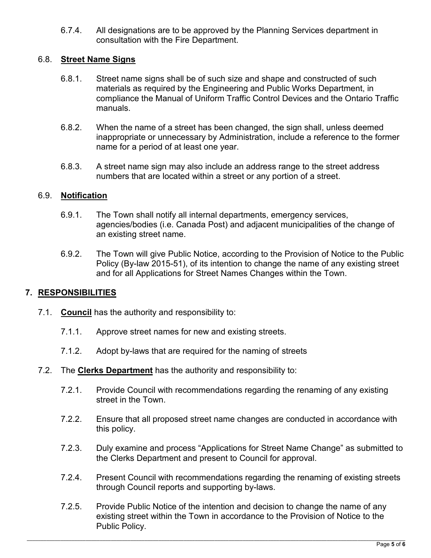6.7.4. All designations are to be approved by the Planning Services department in consultation with the Fire Department.

## 6.8. **Street Name Signs**

- 6.8.1. Street name signs shall be of such size and shape and constructed of such materials as required by the Engineering and Public Works Department, in compliance the Manual of Uniform Traffic Control Devices and the Ontario Traffic manuals.
- 6.8.2. When the name of a street has been changed, the sign shall, unless deemed inappropriate or unnecessary by Administration, include a reference to the former name for a period of at least one year.
- 6.8.3. A street name sign may also include an address range to the street address numbers that are located within a street or any portion of a street.

## 6.9. **Notification**

- 6.9.1. The Town shall notify all internal departments, emergency services, agencies/bodies (i.e. Canada Post) and adjacent municipalities of the change of an existing street name.
- 6.9.2. The Town will give Public Notice, according to the Provision of Notice to the Public Policy (By-law 2015-51), of its intention to change the name of any existing street and for all Applications for Street Names Changes within the Town.

#### **7. RESPONSIBILITIES**

- 7.1. **Council** has the authority and responsibility to:
	- 7.1.1. Approve street names for new and existing streets.
	- 7.1.2. Adopt by-laws that are required for the naming of streets
- 7.2. The **Clerks Department** has the authority and responsibility to:
	- 7.2.1. Provide Council with recommendations regarding the renaming of any existing street in the Town.
	- 7.2.2. Ensure that all proposed street name changes are conducted in accordance with this policy.
	- 7.2.3. Duly examine and process "Applications for Street Name Change" as submitted to the Clerks Department and present to Council for approval.
	- 7.2.4. Present Council with recommendations regarding the renaming of existing streets through Council reports and supporting by-laws.
	- 7.2.5. Provide Public Notice of the intention and decision to change the name of any existing street within the Town in accordance to the Provision of Notice to the Public Policy.